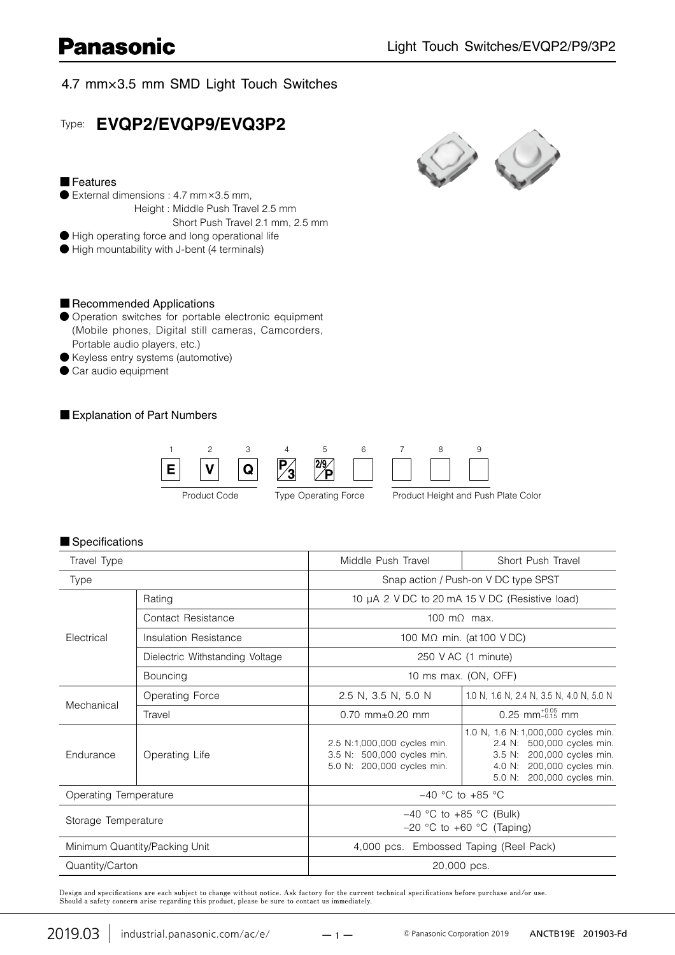### 4.7 mm×3.5 mm SMD Light Touch Switches

### Type: **EVQP2/EVQP9/EVQ3P2**

#### ■ Features

- External dimensions : 4.7 mm×3.5 mm,
	- Height : Middle Push Travel 2.5 mm
		- Short Push Travel 2.1 mm, 2.5 mm
- **●** High operating force and long operational life
- **●** High mountability with J-bent (4 terminals)

#### ■ Recommended Applications

- **●** Operation switches for portable electronic equipment (Mobile phones, Digital still cameras, Camcorders, Portable audio players, etc.)
- **●** Keyless entry systems (automotive)
- **●** Car audio equipment

#### ■ Explanation of Part Numbers



#### ■ Specifications

| Travel Type                   |                                 | Middle Push Travel                                                                      | Short Push Travel                                                                                                                                                 |  |  |  |  |  |
|-------------------------------|---------------------------------|-----------------------------------------------------------------------------------------|-------------------------------------------------------------------------------------------------------------------------------------------------------------------|--|--|--|--|--|
| <b>Type</b>                   |                                 | Snap action / Push-on V DC type SPST                                                    |                                                                                                                                                                   |  |  |  |  |  |
| Electrical                    | Rating                          | 10 µA 2 V DC to 20 mA 15 V DC (Resistive load)                                          |                                                                                                                                                                   |  |  |  |  |  |
|                               | Contact Resistance              | $100 \text{ m}$ max.                                                                    |                                                                                                                                                                   |  |  |  |  |  |
|                               | Insulation Resistance           | 100 M $\Omega$ min. (at 100 VDC)                                                        |                                                                                                                                                                   |  |  |  |  |  |
|                               | Dielectric Withstanding Voltage | 250 V AC (1 minute)                                                                     |                                                                                                                                                                   |  |  |  |  |  |
|                               | Bouncing                        | 10 ms max. (ON, OFF)                                                                    |                                                                                                                                                                   |  |  |  |  |  |
| Mechanical                    | Operating Force                 | 2.5 N, 3.5 N, 5.0 N                                                                     | 1.0 N, 1.6 N, 2.4 N, 3.5 N, 4.0 N, 5.0 N                                                                                                                          |  |  |  |  |  |
|                               | Travel                          | $0.70$ mm+ $0.20$ mm                                                                    | $0.25$ mm <sup>+0.05</sup> mm                                                                                                                                     |  |  |  |  |  |
| Endurance                     | Operating Life                  | 2.5 N:1,000,000 cycles min.<br>3.5 N: 500,000 cycles min.<br>5.0 N: 200,000 cycles min. | 1.0 N, 1.6 N: 1,000,000 cycles min.<br>2.4 N: 500,000 cycles min.<br>200,000 cycles min.<br>3.5 N:<br>4.0 N: 200,000 cycles min.<br>200,000 cycles min.<br>5.0 N: |  |  |  |  |  |
| Operating Temperature         |                                 | $-40$ °C to +85 °C                                                                      |                                                                                                                                                                   |  |  |  |  |  |
| Storage Temperature           |                                 | $-40$ °C to +85 °C (Bulk)<br>$-20$ °C to +60 °C (Taping)                                |                                                                                                                                                                   |  |  |  |  |  |
| Minimum Quantity/Packing Unit |                                 | 4,000 pcs. Embossed Taping (Reel Pack)                                                  |                                                                                                                                                                   |  |  |  |  |  |
| Quantity/Carton               |                                 | 20,000 pcs.                                                                             |                                                                                                                                                                   |  |  |  |  |  |

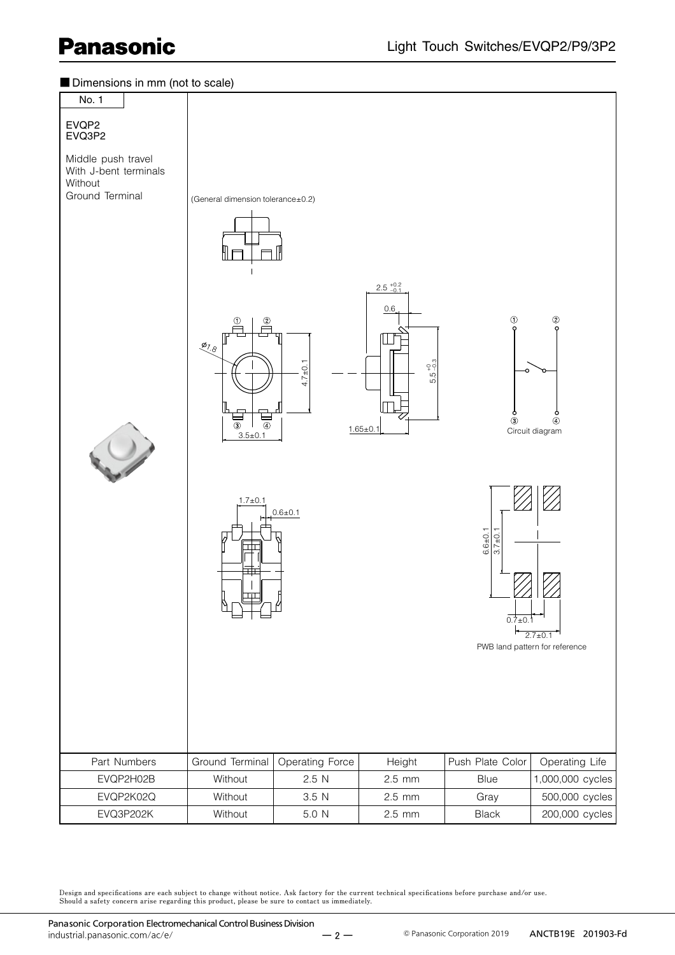

Design and specifications are each subject to change without notice. Ask factory for the current technical specifications before purchase and/or use.<br>Should a safety concern arise regarding this product, please be sure to

 $-2 -$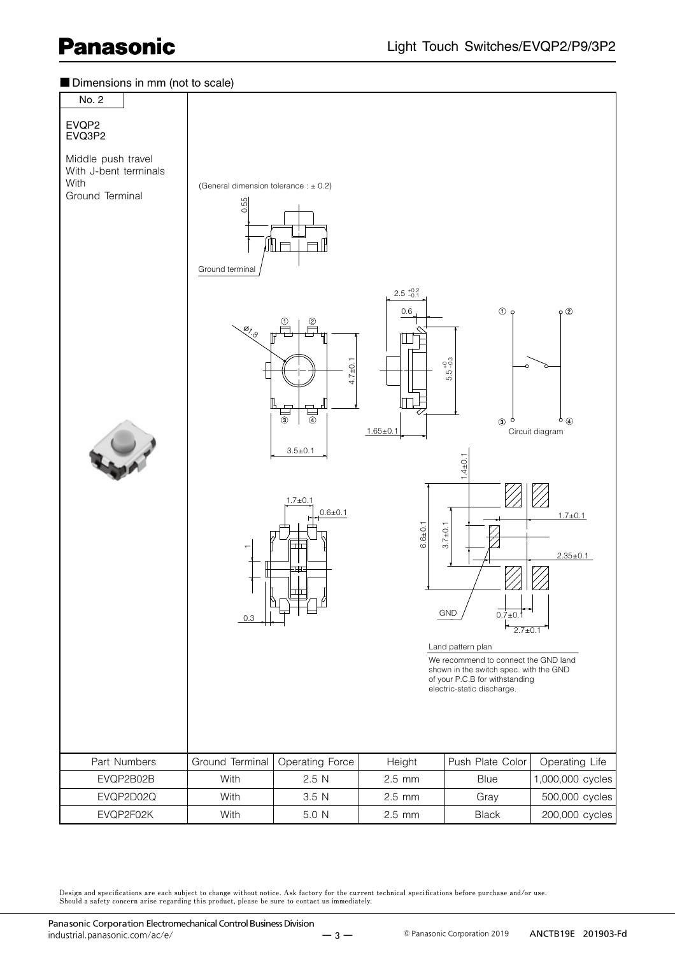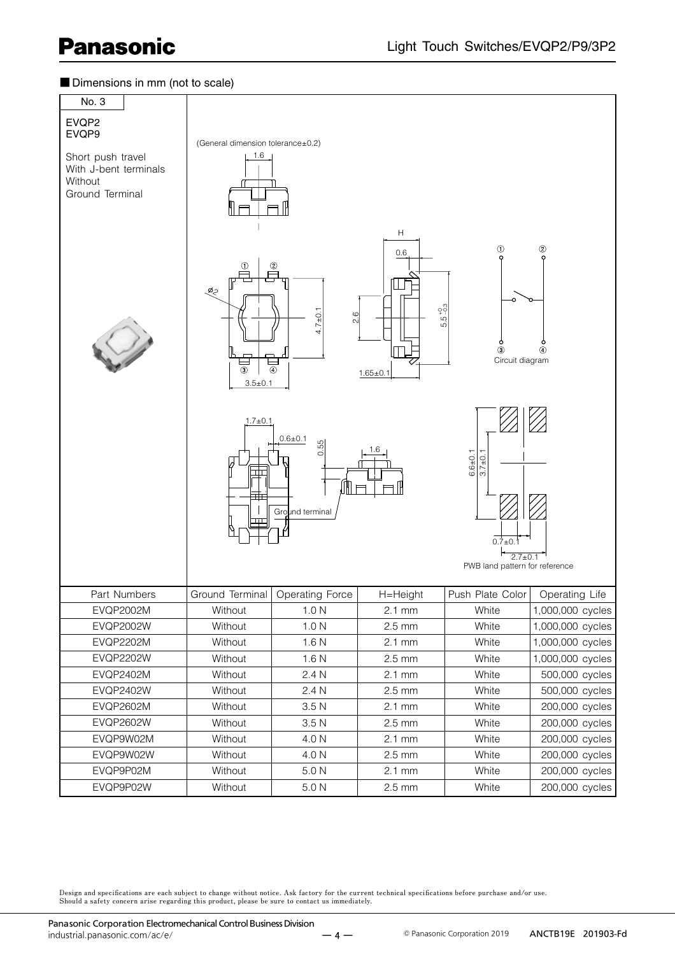#### ■ Dimensions in mm (not to scale)

| No. 3<br>EVQP2<br>EVQP9<br>Short push travel<br>With J-bent terminals<br>Without<br>Ground Terminal | (General dimension tolerance±0.2)<br>1.6<br>ల్లం<br>$\circled{3}$<br>$3.5 \pm 0.1$<br>$1.7 \pm 0.1$ | ②<br>$.7 + 0.1$<br>$\circ$<br>2.<br>4<br>◉<br>$0.6 + 0.1$<br>55.<br>ö<br>ſŀ<br>Ground terminal | Н<br>0.6<br>$5.5^{+0.3}_{-0.3}$<br>$1.65 \pm 0.1$<br>1.6 | ⊕<br>③<br>Circuit diagram<br>$6.6 + 0.1$<br>$3.7 + 0.1$<br>$0.7+0.$<br>$2.7 \pm 0.1$<br>PWB land pattern for reference | $^{\circledR}$<br>Ô<br>$\circledA$ |
|-----------------------------------------------------------------------------------------------------|-----------------------------------------------------------------------------------------------------|------------------------------------------------------------------------------------------------|----------------------------------------------------------|------------------------------------------------------------------------------------------------------------------------|------------------------------------|
| Part Numbers                                                                                        |                                                                                                     | Ground Terminal   Operating Force                                                              | H=Height                                                 | Push Plate Color                                                                                                       | Operating Life                     |
| <b>EVQP2002M</b>                                                                                    | Without                                                                                             | 1.0 <sub>N</sub>                                                                               | $2.1 \text{ mm}$                                         | White                                                                                                                  | 1,000,000 cycles                   |
| <b>EVQP2002W</b>                                                                                    | Without                                                                                             | 1.0 <sub>N</sub>                                                                               | $2.5$ mm                                                 | White                                                                                                                  | 1,000,000 cycles                   |
| <b>EVQP2202M</b>                                                                                    | Without                                                                                             | 1.6 <sub>N</sub>                                                                               | $2.1 \text{ mm}$                                         | White                                                                                                                  | 1,000,000 cycles                   |
| <b>EVQP2202W</b>                                                                                    | Without                                                                                             | 1.6 <sub>N</sub>                                                                               | $2.5 \text{ mm}$                                         | White                                                                                                                  | 1,000,000 cycles                   |
| <b>EVQP2402M</b>                                                                                    | Without                                                                                             | 2.4 N                                                                                          | $2.1 \text{ mm}$                                         | White                                                                                                                  | 500,000 cycles                     |
| <b>EVQP2402W</b>                                                                                    | Without                                                                                             | 2.4 N                                                                                          | $2.5 \text{ mm}$                                         | White                                                                                                                  | 500,000 cycles                     |
| <b>EVQP2602M</b>                                                                                    | Without                                                                                             | 3.5 <sub>N</sub>                                                                               | $2.1 \text{ mm}$                                         | White                                                                                                                  | 200,000 cycles                     |
| <b>EVQP2602W</b>                                                                                    | Without                                                                                             | 3.5 <sub>N</sub>                                                                               | $2.5 \text{ mm}$                                         | White                                                                                                                  | 200,000 cycles                     |
| EVQP9W02M                                                                                           | Without                                                                                             | 4.0 N                                                                                          | $2.1$ mm                                                 | White                                                                                                                  | 200,000 cycles                     |
| EVQP9W02W                                                                                           | Without                                                                                             | 4.0 N                                                                                          | $2.5 \text{ mm}$                                         | White                                                                                                                  | 200,000 cycles                     |
| EVQP9P02M                                                                                           | Without                                                                                             | 5.0 <sub>N</sub>                                                                               | $2.1 \text{ mm}$                                         | White                                                                                                                  | 200,000 cycles                     |
| EVQP9P02W                                                                                           | Without                                                                                             | $5.0\ \rm N$                                                                                   | $2.5 \text{ mm}$                                         | White                                                                                                                  | 200,000 cycles                     |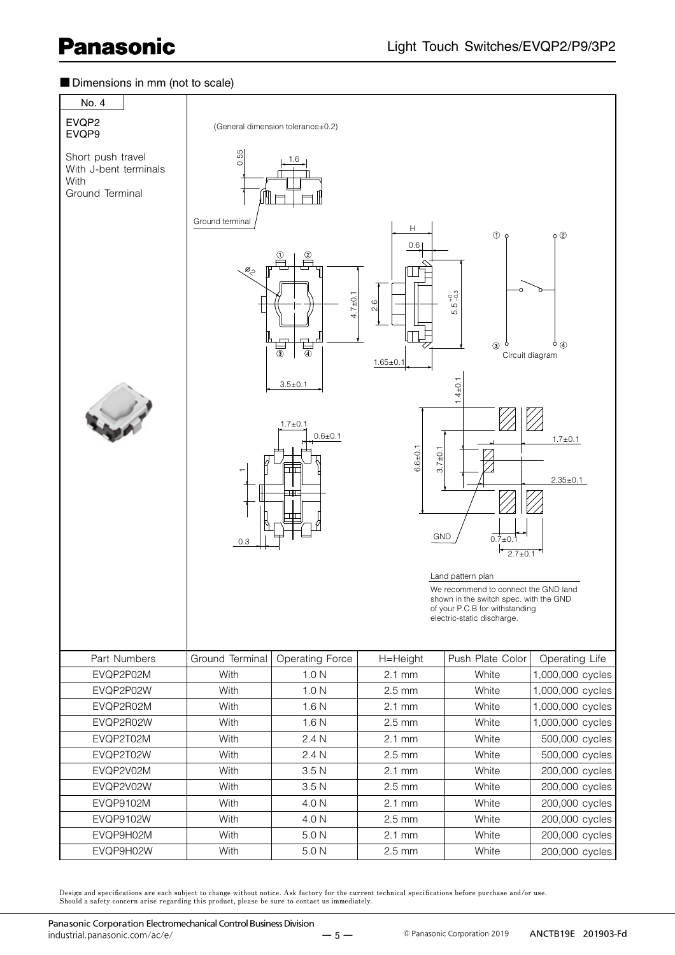#### ■ Dimensions in mm (not to scale)

| No. 4                                                                 |                                    |                                                                                                        |                                                                                             |                                                                                                                                                                                                                                                                       |                                                                                             |  |  |  |  |
|-----------------------------------------------------------------------|------------------------------------|--------------------------------------------------------------------------------------------------------|---------------------------------------------------------------------------------------------|-----------------------------------------------------------------------------------------------------------------------------------------------------------------------------------------------------------------------------------------------------------------------|---------------------------------------------------------------------------------------------|--|--|--|--|
| EVQP2<br>EVQP9                                                        |                                    | (General dimension tolerance±0.2)                                                                      |                                                                                             |                                                                                                                                                                                                                                                                       |                                                                                             |  |  |  |  |
| Short push travel<br>With J-bent terminals<br>With<br>Ground Terminal | 0.55                               |                                                                                                        |                                                                                             |                                                                                                                                                                                                                                                                       |                                                                                             |  |  |  |  |
|                                                                       | Ground terminal<br>ల్ల<br>٣<br>0.3 | ②<br>$4.7 + 0.1$<br>$\overline{\circ}$<br>③<br>$3.5 \pm 0.1$<br>$1.7 \pm 0.1$<br>$0.6 + 0.1$<br>╥<br>Τ | Н<br>0.6<br>$\circ$<br>$\sim$<br>$1.65 \pm 0.1$<br>$6.6 + 0.1$<br>$3.7 + 0.1$<br><b>GND</b> | $\circ$<br>္ဘက္<br>LQ.<br>ம்<br>$\circledcirc$<br>$1.4 + 0.1$<br>$0.7 \pm 0.$<br>$2.7 \pm 0.1$<br>Land pattern plan<br>We recommend to connect the GND land<br>shown in the switch spec. with the GND<br>of your P.C.B for withstanding<br>electric-static discharge. | $\rho$ $\circled{2}$<br>$\circ$ $\circ$<br>Circuit diagram<br>$1.7 + 0.1$<br>$2.35 \pm 0.1$ |  |  |  |  |
| Part Numbers                                                          | Ground Terminal                    | Operating Force                                                                                        | H=Height                                                                                    | Push Plate Color                                                                                                                                                                                                                                                      | Operating Life                                                                              |  |  |  |  |
| EVQP2P02M                                                             | With                               | 1.0 <sub>N</sub>                                                                                       | $2.1$ mm                                                                                    | White                                                                                                                                                                                                                                                                 | 1,000,000 cycles                                                                            |  |  |  |  |
| EVQP2P02W                                                             | With                               | 1.0 <sub>N</sub>                                                                                       | $2.5$ mm                                                                                    | White                                                                                                                                                                                                                                                                 | 1,000,000 cycles                                                                            |  |  |  |  |
| EVQP2R02M                                                             | With                               | 1.6 <sub>N</sub>                                                                                       | $2.1 \text{ mm}$                                                                            | White                                                                                                                                                                                                                                                                 | 1,000,000 cycles                                                                            |  |  |  |  |
| EVQP2R02W                                                             | With                               | 1.6 <sub>N</sub>                                                                                       | $2.5$ mm                                                                                    | White                                                                                                                                                                                                                                                                 | 1,000,000 cycles                                                                            |  |  |  |  |
| EVQP2T02M                                                             | With                               | 2.4 N                                                                                                  | $2.1$ mm                                                                                    | White                                                                                                                                                                                                                                                                 | 500,000 cycles                                                                              |  |  |  |  |
| EVQP2T02W                                                             | With                               | 2.4 N                                                                                                  | $2.5 \text{ mm}$                                                                            | White                                                                                                                                                                                                                                                                 | 500,000 cycles                                                                              |  |  |  |  |
| EVQP2V02M                                                             | With                               | 3.5 <sub>N</sub>                                                                                       | $2.1$ mm                                                                                    | White                                                                                                                                                                                                                                                                 | 200,000 cycles                                                                              |  |  |  |  |
| EVQP2V02W                                                             | With                               | 3.5 <sub>N</sub>                                                                                       | $2.5$ mm                                                                                    | White                                                                                                                                                                                                                                                                 | 200,000 cycles                                                                              |  |  |  |  |
| EVQP9102M                                                             | With                               | 4.0 N                                                                                                  | $2.1 \text{ mm}$                                                                            | White                                                                                                                                                                                                                                                                 | 200,000 cycles                                                                              |  |  |  |  |
| EVQP9102W                                                             | With                               | 4.0 N                                                                                                  | $2.5$ mm                                                                                    | White                                                                                                                                                                                                                                                                 | 200,000 cycles                                                                              |  |  |  |  |
| EVQP9H02M                                                             | With                               | 5.0 N                                                                                                  | $2.1$ mm                                                                                    | White                                                                                                                                                                                                                                                                 | 200,000 cycles                                                                              |  |  |  |  |
| EVQP9H02W                                                             | With                               | 5.0 <sub>N</sub>                                                                                       | $2.5 \text{ mm}$                                                                            | White                                                                                                                                                                                                                                                                 | 200,000 cycles                                                                              |  |  |  |  |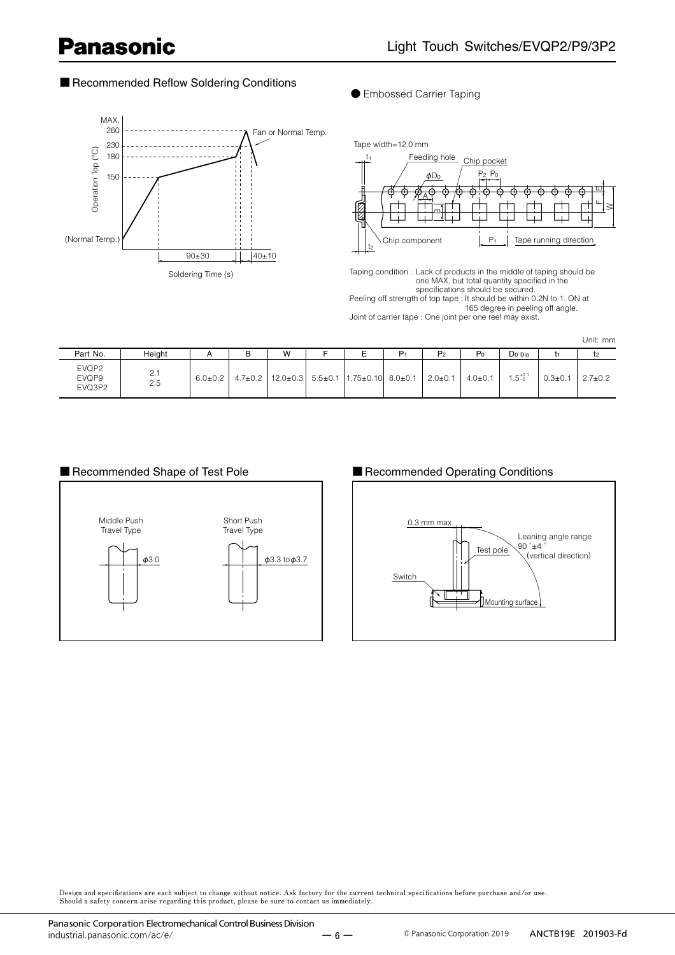### ■ Recommended Reflow Soldering Conditions



**●** Embossed Carrier Taping



Taping condition : Lack of products in the middle of taping should be one MAX, but total quantity specified in the specifications should be secured. Peeling off strength of top tape : It should be within 0.2N to 1. ON at 165 degree in peeling off angle. Joint of carrier tape : One joint per one reel may exist.

Unit: mm

| Part No.                 | Height     |               | D | W |                                                                                | P <sub>2</sub> | P <sub>0</sub> | Do Dia            |               |               |
|--------------------------|------------|---------------|---|---|--------------------------------------------------------------------------------|----------------|----------------|-------------------|---------------|---------------|
| EVQP2<br>EVQP9<br>EVQ3P2 | 2.1<br>2.5 | $6.0 \pm 0.2$ |   |   | $4.7\pm0.2$   12.0 $\pm$ 0.3   5.5 $\pm$ 0.1   1.75 $\pm$ 0.10   8.0 $\pm$ 0.1 | $12.0 \pm 0.1$ | $4.0 \pm 0.1$  | $1.5^{+0.1}_{-0}$ | $0.3 \pm 0.1$ | $2.7 \pm 0.2$ |



#### ■ Recommended Shape of Test Pole ■ Recommended Operating Conditions



Design and specifications are each subject to change without notice. Ask factory for the current technical specifications before purchase and/or use.<br>Should a safety concern arise regarding this product, please be sure to

 $-6 -$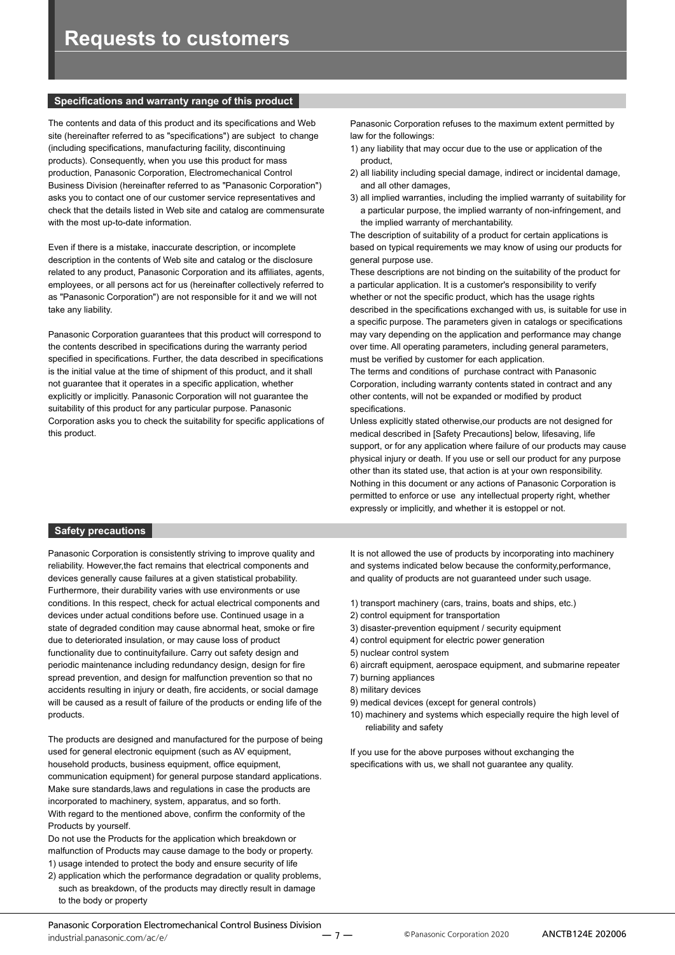#### **Specifications and warranty range of this product**

The contents and data of this product and its specifications and Web site (hereinafter referred to as "specifications") are subject to change (including specifications, manufacturing facility, discontinuing products). Consequently, when you use this product for mass production, Panasonic Corporation, Electromechanical Control Business Division (hereinafter referred to as "Panasonic Corporation") asks you to contact one of our customer service representatives and check that the details listed in Web site and catalog are commensurate with the most up-to-date information.

Even if there is a mistake, inaccurate description, or incomplete description in the contents of Web site and catalog or the disclosure related to any product, Panasonic Corporation and its affiliates, agents, employees, or all persons act for us (hereinafter collectively referred to as "Panasonic Corporation") are not responsible for it and we will not take any liability.

Panasonic Corporation guarantees that this product will correspond to the contents described in specifications during the warranty period specified in specifications. Further, the data described in specifications is the initial value at the time of shipment of this product, and it shall not guarantee that it operates in a specific application, whether explicitly or implicitly. Panasonic Corporation will not guarantee the suitability of this product for any particular purpose. Panasonic Corporation asks you to check the suitability for specific applications of this product.

Panasonic Corporation refuses to the maximum extent permitted by law for the followings:

- 1) any liability that may occur due to the use or application of the product,
- 2) all liability including special damage, indirect or incidental damage, and all other damages,
- 3) all implied warranties, including the implied warranty of suitability for a particular purpose, the implied warranty of non-infringement, and the implied warranty of merchantability.

The description of suitability of a product for certain applications is based on typical requirements we may know of using our products for general purpose use.

These descriptions are not binding on the suitability of the product for a particular application. It is a customer's responsibility to verify whether or not the specific product, which has the usage rights described in the specifications exchanged with us, is suitable for use in a specific purpose. The parameters given in catalogs or specifications may vary depending on the application and performance may change over time. All operating parameters, including general parameters, must be verified by customer for each application.

The terms and conditions of purchase contract with Panasonic Corporation, including warranty contents stated in contract and any other contents, will not be expanded or modified by product specifications.

Unless explicitly stated otherwise,our products are not designed for medical described in [Safety Precautions] below, lifesaving, life support, or for any application where failure of our products may cause physical injury or death. If you use or sell our product for any purpose other than its stated use, that action is at your own responsibility. Nothing in this document or any actions of Panasonic Corporation is permitted to enforce or use any intellectual property right, whether expressly or implicitly, and whether it is estoppel or not.

#### **Safety precautions**

Panasonic Corporation is consistently striving to improve quality and reliability. However,the fact remains that electrical components and devices generally cause failures at a given statistical probability. Furthermore, their durability varies with use environments or use conditions. In this respect, check for actual electrical components and devices under actual conditions before use. Continued usage in a state of degraded condition may cause abnormal heat, smoke or fire due to deteriorated insulation, or may cause loss of product functionality due to continuityfailure. Carry out safety design and periodic maintenance including redundancy design, design for fire spread prevention, and design for malfunction prevention so that no accidents resulting in injury or death, fire accidents, or social damage will be caused as a result of failure of the products or ending life of the products.

The products are designed and manufactured for the purpose of being used for general electronic equipment (such as AV equipment, household products, business equipment, office equipment, communication equipment) for general purpose standard applications. Make sure standards,laws and regulations in case the products are incorporated to machinery, system, apparatus, and so forth. With regard to the mentioned above, confirm the conformity of the Products by yourself.

Do not use the Products for the application which breakdown or malfunction of Products may cause damage to the body or property. 1) usage intended to protect the body and ensure security of life

2) application which the performance degradation or quality problems, such as breakdown, of the products may directly result in damage to the body or property

It is not allowed the use of products by incorporating into machinery and systems indicated below because the conformity,performance, and quality of products are not guaranteed under such usage.

- 1) transport machinery (cars, trains, boats and ships, etc.)
- 2) control equipment for transportation
- 3) disaster-prevention equipment / security equipment
- 4) control equipment for electric power generation
- 5) nuclear control system
- 6) aircraft equipment, aerospace equipment, and submarine repeater
- 7) burning appliances
- 8) military devices
- 9) medical devices (except for general controls)
- 10) machinery and systems which especially require the high level of reliability and safety

If you use for the above purposes without exchanging the specifications with us, we shall not guarantee any quality.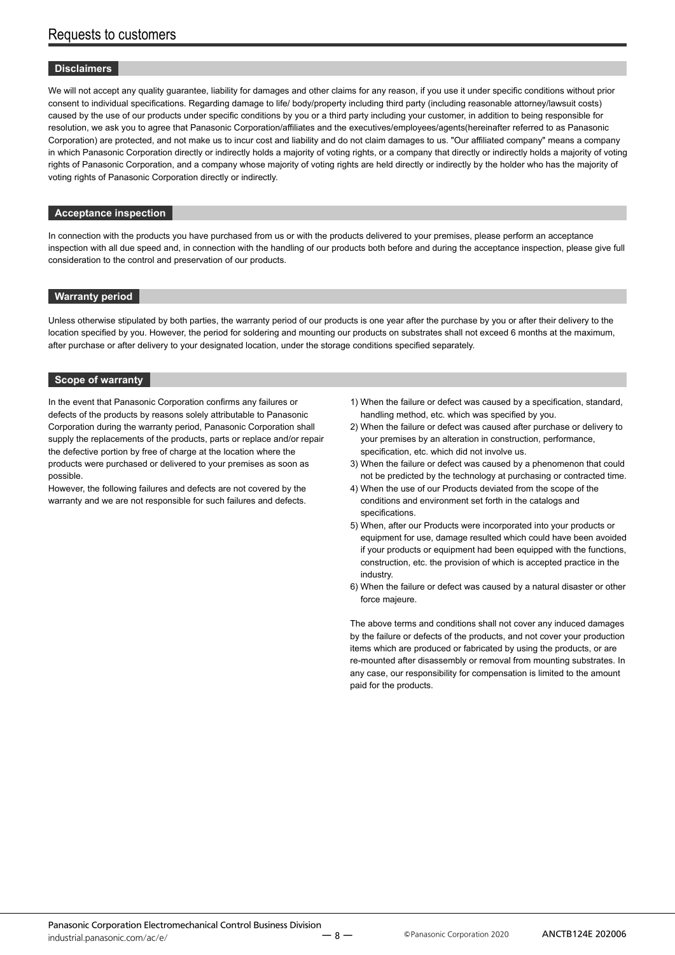#### **Disclaimers**

We will not accept any quality guarantee, liability for damages and other claims for any reason, if you use it under specific conditions without prior consent to individual specifications. Regarding damage to life/ body/property including third party (including reasonable attorney/lawsuit costs) caused by the use of our products under specific conditions by you or a third party including your customer, in addition to being responsible for resolution, we ask you to agree that Panasonic Corporation/affiliates and the executives/employees/agents(hereinafter referred to as Panasonic Corporation) are protected, and not make us to incur cost and liability and do not claim damages to us. "Our affiliated company" means a company in which Panasonic Corporation directly or indirectly holds a majority of voting rights, or a company that directly or indirectly holds a majority of voting rights of Panasonic Corporation, and a company whose majority of voting rights are held directly or indirectly by the holder who has the majority of voting rights of Panasonic Corporation directly or indirectly.

#### **Acceptance inspection**

In connection with the products you have purchased from us or with the products delivered to your premises, please perform an acceptance inspection with all due speed and, in connection with the handling of our products both before and during the acceptance inspection, please give full consideration to the control and preservation of our products.

#### **Warranty period**

Unless otherwise stipulated by both parties, the warranty period of our products is one year after the purchase by you or after their delivery to the location specified by you. However, the period for soldering and mounting our products on substrates shall not exceed 6 months at the maximum, after purchase or after delivery to your designated location, under the storage conditions specified separately.

#### **Scope of warranty**

In the event that Panasonic Corporation confirms any failures or defects of the products by reasons solely attributable to Panasonic Corporation during the warranty period, Panasonic Corporation shall supply the replacements of the products, parts or replace and/or repair the defective portion by free of charge at the location where the products were purchased or delivered to your premises as soon as possible.

However, the following failures and defects are not covered by the warranty and we are not responsible for such failures and defects.

- 1) When the failure or defect was caused by a specification, standard, handling method, etc. which was specified by you.
- 2) When the failure or defect was caused after purchase or delivery to your premises by an alteration in construction, performance, specification, etc. which did not involve us.
- 3) When the failure or defect was caused by a phenomenon that could not be predicted by the technology at purchasing or contracted time.
- 4) When the use of our Products deviated from the scope of the conditions and environment set forth in the catalogs and specifications.
- 5) When, after our Products were incorporated into your products or equipment for use, damage resulted which could have been avoided if your products or equipment had been equipped with the functions, construction, etc. the provision of which is accepted practice in the industry.
- 6) When the failure or defect was caused by a natural disaster or other force majeure.

The above terms and conditions shall not cover any induced damages by the failure or defects of the products, and not cover your production items which are produced or fabricated by using the products, or are re-mounted after disassembly or removal from mounting substrates. In any case, our responsibility for compensation is limited to the amount paid for the products.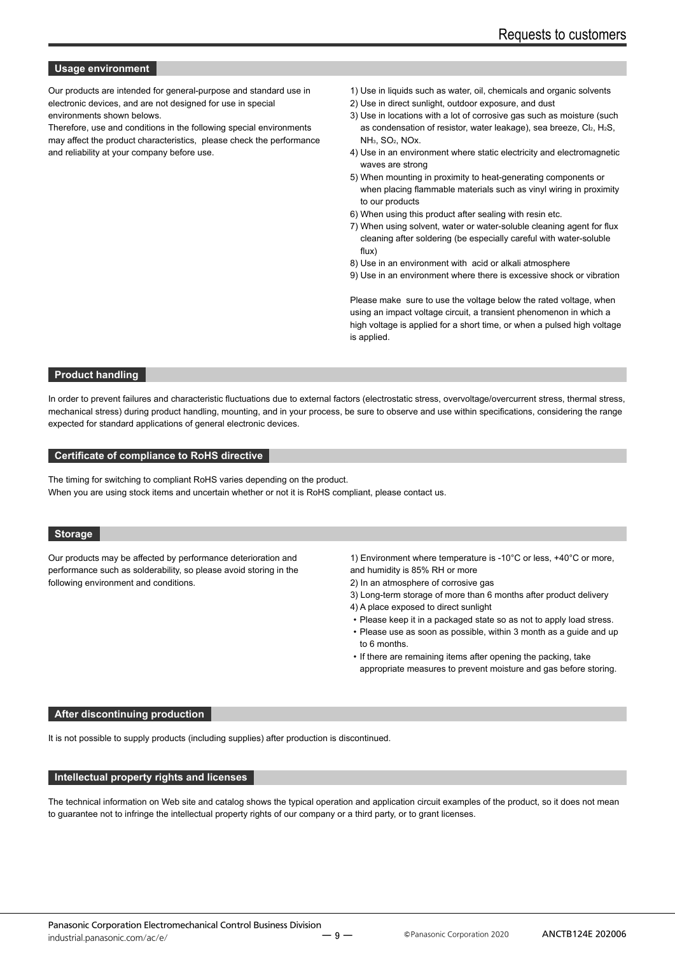#### **Usage environment**

Our products are intended for general-purpose and standard use in electronic devices, and are not designed for use in special environments shown belows.

Therefore, use and conditions in the following special environments may affect the product characteristics, please check the performance and reliability at your company before use.

- 1) Use in liquids such as water, oil, chemicals and organic solvents
- 2) Use in direct sunlight, outdoor exposure, and dust
- 3) Use in locations with a lot of corrosive gas such as moisture (such as condensation of resistor, water leakage), sea breeze, Cl2, H2S, NH3, SO2, NOx.
- 4) Use in an environment where static electricity and electromagnetic waves are strong
- 5) When mounting in proximity to heat-generating components or when placing flammable materials such as vinyl wiring in proximity to our products
- 6) When using this product after sealing with resin etc.
- 7) When using solvent, water or water-soluble cleaning agent for flux cleaning after soldering (be especially careful with water-soluble flux)
- 8) Use in an environment with acid or alkali atmosphere
- 9) Use in an environment where there is excessive shock or vibration

Please make sure to use the voltage below the rated voltage, when using an impact voltage circuit, a transient phenomenon in which a high voltage is applied for a short time, or when a pulsed high voltage is applied.

#### **Product handling**

In order to prevent failures and characteristic fluctuations due to external factors (electrostatic stress, overvoltage/overcurrent stress, thermal stress, mechanical stress) during product handling, mounting, and in your process, be sure to observe and use within specifications, considering the range expected for standard applications of general electronic devices.

#### **Certificate of compliance to RoHS directive**

The timing for switching to compliant RoHS varies depending on the product. When you are using stock items and uncertain whether or not it is RoHS compliant, please contact us.

#### **Storage**

Our products may be affected by performance deterioration and performance such as solderability, so please avoid storing in the following environment and conditions.

1) Environment where temperature is -10°C or less, +40°C or more, and humidity is 85% RH or more

- 2) In an atmosphere of corrosive gas
- 3) Long-term storage of more than 6 months after product delivery
- 4) A place exposed to direct sunlight
- Please keep it in a packaged state so as not to apply load stress.
- Please use as soon as possible, within 3 month as a guide and up to 6 months.
- If there are remaining items after opening the packing, take appropriate measures to prevent moisture and gas before storing.

#### **After discontinuing production**

It is not possible to supply products (including supplies) after production is discontinued.

#### **Intellectual property rights and licenses**

The technical information on Web site and catalog shows the typical operation and application circuit examples of the product, so it does not mean to guarantee not to infringe the intellectual property rights of our company or a third party, or to grant licenses.

ー 9 ー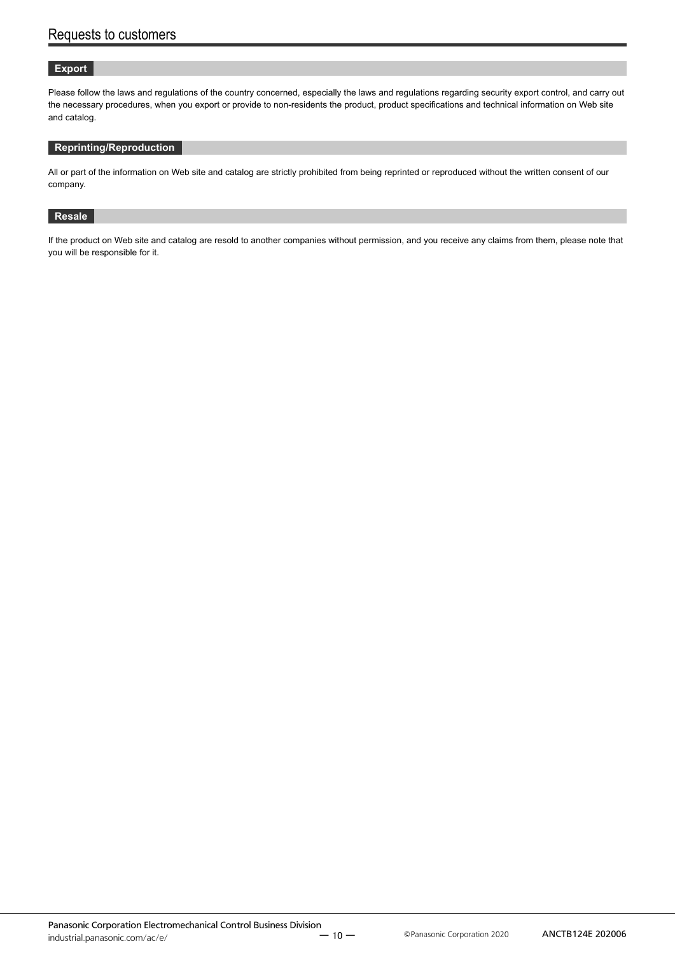#### **Export**

Please follow the laws and regulations of the country concerned, especially the laws and regulations regarding security export control, and carry out the necessary procedures, when you export or provide to non-residents the product, product specifications and technical information on Web site and catalog.

#### **Reprinting/Reproduction**

All or part of the information on Web site and catalog are strictly prohibited from being reprinted or reproduced without the written consent of our company.

#### **Resale**

If the product on Web site and catalog are resold to another companies without permission, and you receive any claims from them, please note that you will be responsible for it.